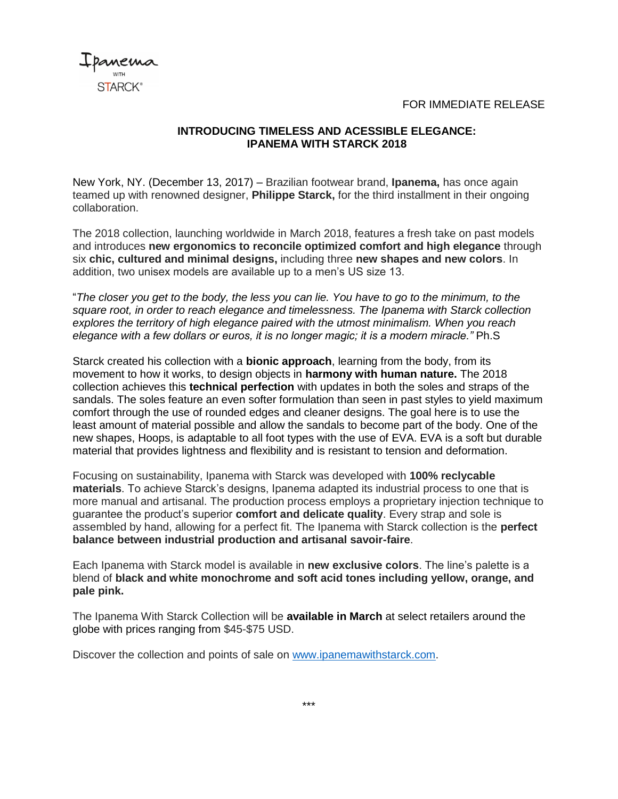FOR IMMEDIATE RELEASE



## **INTRODUCING TIMELESS AND ACESSIBLE ELEGANCE: IPANEMA WITH STARCK 2018**

New York, NY. (December 13, 2017) – Brazilian footwear brand, **Ipanema,** has once again teamed up with renowned designer, **Philippe Starck,** for the third installment in their ongoing collaboration.

The 2018 collection, launching worldwide in March 2018, features a fresh take on past models and introduces **new ergonomics to reconcile optimized comfort and high elegance** through six **chic, cultured and minimal designs,** including three **new shapes and new colors**. In addition, two unisex models are available up to a men's US size 13.

"*The closer you get to the body, the less you can lie. You have to go to the minimum, to the square root, in order to reach elegance and timelessness. The Ipanema with Starck collection explores the territory of high elegance paired with the utmost minimalism. When you reach elegance with a few dollars or euros, it is no longer magic; it is a modern miracle."* Ph.S

Starck created his collection with a **bionic approach**, learning from the body, from its movement to how it works, to design objects in **harmony with human nature.** The 2018 collection achieves this **technical perfection** with updates in both the soles and straps of the sandals. The soles feature an even softer formulation than seen in past styles to yield maximum comfort through the use of rounded edges and cleaner designs. The goal here is to use the least amount of material possible and allow the sandals to become part of the body. One of the new shapes, Hoops, is adaptable to all foot types with the use of EVA. EVA is a soft but durable material that provides lightness and flexibility and is resistant to tension and deformation.

Focusing on sustainability, Ipanema with Starck was developed with **100% reclycable materials**. To achieve Starck's designs, Ipanema adapted its industrial process to one that is more manual and artisanal. The production process employs a proprietary injection technique to guarantee the product's superior **comfort and delicate quality**. Every strap and sole is assembled by hand, allowing for a perfect fit. The Ipanema with Starck collection is the **perfect balance between industrial production and artisanal savoir-faire**.

Each Ipanema with Starck model is available in **new exclusive colors**. The line's palette is a blend of **black and white monochrome and soft acid tones including yellow, orange, and pale pink.** 

The Ipanema With Starck Collection will be **available in March** at select retailers around the globe with prices ranging from \$45-\$75 USD.

Discover the collection and points of sale on [www.ipanemawithstarck.com.](http://www.ipanemawithstarck.com/)